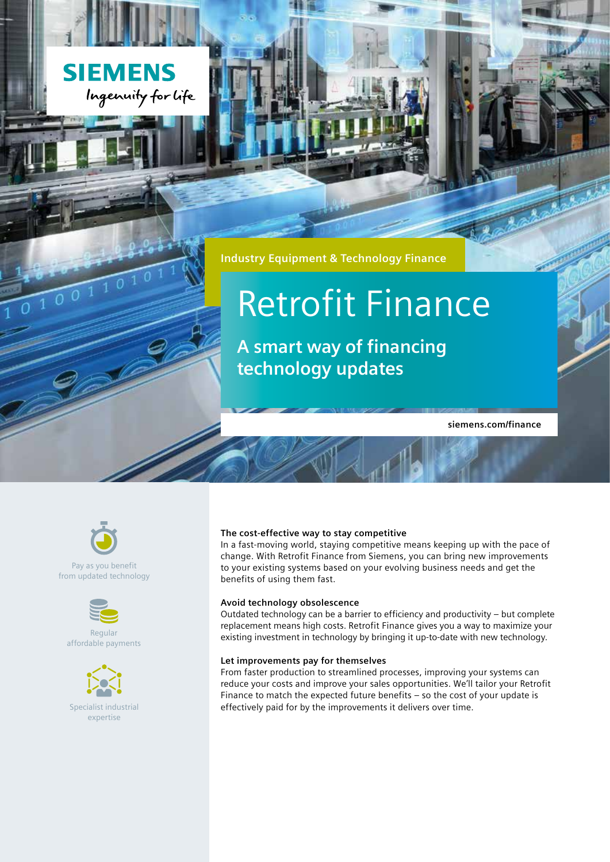

**Industry Equipment & Technology Finance**

# Retrofit Finance

**A smart way of financing technology updates**

**siemens.com/finance**



 $\frac{1}{0}$   $\frac{8}{1}$   $\frac{1}{0}$   $\frac{0}{1}$   $\frac{1}{1}$   $\frac{0}{1}$   $\frac{1}{0}$ 

### Pay as you benefit from updated technology



Regular affordable payments



### **The cost-effective way to stay competitive**

In a fast-moving world, staying competitive means keeping up with the pace of change. With Retrofit Finance from Siemens, you can bring new improvements to your existing systems based on your evolving business needs and get the benefits of using them fast.

### **Avoid technology obsolescence**

Outdated technology can be a barrier to efficiency and productivity – but complete replacement means high costs. Retrofit Finance gives you a way to maximize your existing investment in technology by bringing it up-to-date with new technology.

### **Let improvements pay for themselves**

From faster production to streamlined processes, improving your systems can reduce your costs and improve your sales opportunities. We'll tailor your Retrofit Finance to match the expected future benefits – so the cost of your update is Specialist industrial effectively paid for by the improvements it delivers over time.